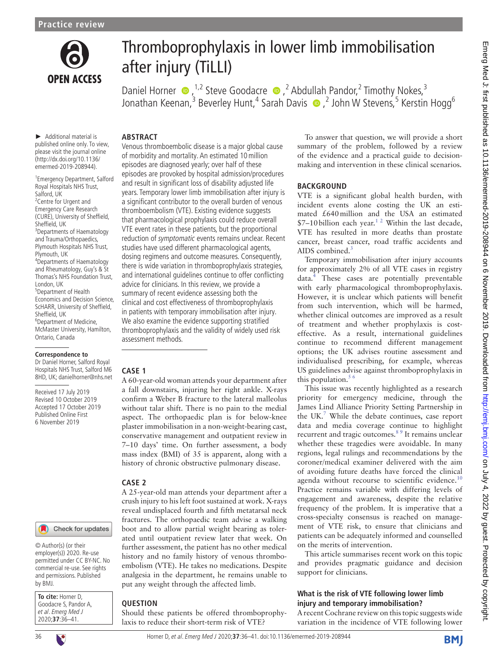

# Thromboprophylaxis in lower limb immobilisation after injury (TiLLI)

Daniel Horner  $\bullet$ , <sup>1,2</sup> Steve Goodacre  $\bullet$ , <sup>2</sup> Abdullah Pandor, <sup>2</sup> Timothy Nokes, <sup>3</sup> Jonathan Keenan,<sup>3</sup> Beverley Hunt,<sup>4</sup> Sarah Davis (D, 2 John W Stevens, 5 Kerstin Hogg<sup>6</sup>

► Additional material is published online only. To view, please visit the journal online (http://dx.doi.org/10.1136/ emermed-2019-208944).

1 Emergency Department, Salford Royal Hospitals NHS Trust, Salford, UK <sup>2</sup> Centre for Urgent and Emergency Care Research (CURE), University of Sheffield, Sheffield, UK <sup>3</sup>Departments of Haematology and Trauma/Orthopaedics, Plymouth Hospitals NHS Trust, Plymouth, UK 4 Departments of Haematology and Rheumatology, Guy's & St Thomas's NHS Foundation Trust, London, UK 5 Department of Health Economics and Decision Science, ScHARR, University of Sheffield, Sheffield, UK 6 Department of Medicine, McMaster University, Hamilton, Ontario, Canada

#### **Correspondence to**

Dr Daniel Horner, Salford Royal Hospitals NHS Trust, Salford M6 8HD, UK; danielhorner@nhs.net

Received 17 July 2019 Revised 10 October 2019 Accepted 17 October 2019 Published Online First 6 November 2019

#### Check for updates O

© Author(s) (or their employer(s)) 2020. Re-use permitted under CC BY-NC. No commercial re-use. See rights and permissions. Published by BMJ.

**To cite:** Horner D, Goodacre S, Pandor A, et al. Emerg Med J 2020;**37**:36–41.

## **Abstract**

Venous thromboembolic disease is a major global cause of morbidity and mortality. An estimated 10million episodes are diagnosed yearly; over half of these episodes are provoked by hospital admission/procedures and result in significant loss of disability adjusted life years. Temporary lower limb immobilisation after injury is a significant contributor to the overall burden of venous thromboembolism (VTE). Existing evidence suggests that pharmacological prophylaxis could reduce overall VTE event rates in these patients, but the proportional reduction of symptomatic events remains unclear. Recent studies have used different pharmacological agents, dosing regimens and outcome measures. Consequently, there is wide variation in thromboprophylaxis strategies, and international guidelines continue to offer conflicting advice for clinicians. In this review, we provide a summary of recent evidence assessing both the clinical and cost effectiveness of thromboprophylaxis in patients with temporary immobilisation after injury. We also examine the evidence supporting stratified thromboprophylaxis and the validity of widely used risk assessment methods.

#### **Case 1**

A 60-year-old woman attends your department after a fall downstairs, injuring her right ankle. X-rays confirm a Weber B fracture to the lateral malleolus without talar shift. There is no pain to the medial aspect. The orthopaedic plan is for below-knee plaster immobilisation in a non-weight-bearing cast, conservative management and outpatient review in 7–10 days' time. On further assessment, a body mass index (BMI) of 35 is apparent, along with a history of chronic obstructive pulmonary disease.

### **Case 2**

A 25-year-old man attends your department after a crush injury to his left foot sustained at work. X-rays reveal undisplaced fourth and fifth metatarsal neck fractures. The orthopaedic team advise a walking boot and to allow partial weight bearing as tolerated until outpatient review later that week. On further assessment, the patient has no other medical history and no family history of venous thromboembolism (VTE). He takes no medications. Despite analgesia in the department, he remains unable to put any weight through the affected limb.

### **Question**

Should these patients be offered thromboprophylaxis to reduce their short-term risk of VTE?

To answer that question, we will provide a short summary of the problem, followed by a review of the evidence and a practical guide to decisionmaking and intervention in these clinical scenarios.

### **BACKGROUND**

VTE is a significant global health burden, with incident events alone costing the UK an estimated £640million and the USA an estimated  $$7-10$  billion each year.<sup>12</sup> Within the last decade, VTE has resulted in more deaths than prostate cancer, breast cancer, road traffic accidents and AIDS combined.<sup>3</sup>

Temporary immobilisation after injury accounts for approximately 2% of all VTE cases in registry data.<sup>[4](#page-4-2)</sup> These cases are potentially preventable with early pharmacological thromboprophylaxis. However, it is unclear which patients will benefit from such intervention, which will be harmed, whether clinical outcomes are improved as a result of treatment and whether prophylaxis is costeffective. As a result, international guidelines continue to recommend different management options; the UK advises routine assessment and individualised prescribing, for example, whereas US guidelines advise against thromboprophylaxis in this population. $56$ 

This issue was recently highlighted as a research priority for emergency medicine, through the James Lind Alliance Priority Setting Partnership in the UK.<sup>[7](#page-4-4)</sup> While the debate continues, case report data and media coverage continue to highlight recurrent and tragic outcomes.[8 9](#page-4-5) It remains unclear whether these tragedies were avoidable. In many regions, legal rulings and recommendations by the coroner/medical examiner delivered with the aim of avoiding future deaths have forced the clinical agenda without recourse to scientific evidence.<sup>[10](#page-4-6)</sup> Practice remains variable with differing levels of engagement and awareness, despite the relative frequency of the problem. It is imperative that a cross-specialty consensus is reached on management of VTE risk, to ensure that clinicians and patients can be adequately informed and counselled on the merits of intervention.

This article summarises recent work on this topic and provides pragmatic guidance and decision support for clinicians.

### **What is the risk of VTE following lower limb injury and temporary immobilisation?**

A recent Cochrane review on this topic suggests wide variation in the incidence of VTE following lower

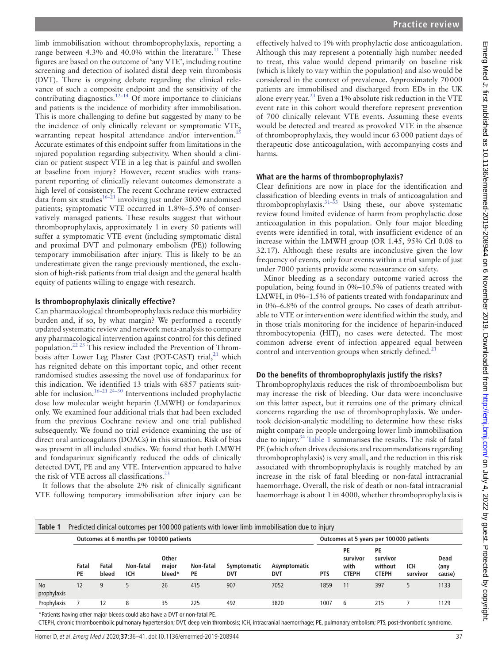limb immobilisation without thromboprophylaxis, reporting a range between 4.3% and 40.0% within the literature.<sup>[11](#page-4-7)</sup> These figures are based on the outcome of 'any VTE', including routine screening and detection of isolated distal deep vein thrombosis (DVT). There is ongoing debate regarding the clinical relevance of such a composite endpoint and the sensitivity of the contributing diagnostics.<sup>12–14</sup> Of more importance to clinicians and patients is the incidence of morbidity after immobilisation. This is more challenging to define but suggested by many to be the incidence of only clinically relevant or symptomatic VTE, warranting repeat hospital attendance and/or intervention.<sup>[15](#page-4-9)</sup> Accurate estimates of this endpoint suffer from limitations in the injured population regarding subjectivity. When should a clinician or patient suspect VTE in a leg that is painful and swollen at baseline from injury? However, recent studies with transparent reporting of clinically relevant outcomes demonstrate a high level of consistency. The recent Cochrane review extracted data from six studies $16-21$  involving just under 3000 randomised patients; symptomatic VTE occurred in 1.8%–5.5% of conservatively managed patients. These results suggest that without thromboprophylaxis, approximately 1 in every 50 patients will suffer a symptomatic VTE event (including symptomatic distal and proximal DVT and pulmonary embolism (PE)) following temporary immobilisation after injury. This is likely to be an underestimate given the range previously mentioned, the exclusion of high-risk patients from trial design and the general health equity of patients willing to engage with research.

### **Is thromboprophylaxis clinically effective?**

Can pharmacological thromboprophylaxis reduce this morbidity burden and, if so, by what margin? We performed a recently updated systematic review and network meta-analysis to compare any pharmacological intervention against control for this defined population.[22 23](#page-5-0) This review included the Prevention of Throm-bosis after Lower Leg Plaster Cast (POT-CAST) trial,<sup>[21](#page-5-1)</sup> which has reignited debate on this important topic, and other recent randomised studies assessing the novel use of fondaparinux for this indication. We identified 13 trials with 6857 patients suit-able for inclusion.<sup>[16–21 24–30](#page-4-10)</sup> Interventions included prophylactic dose low molecular weight heparin (LMWH) or fondaparinux only. We examined four additional trials that had been excluded from the previous Cochrane review and one trial published subsequently. We found no trial evidence examining the use of direct oral anticoagulants (DOACs) in this situation. Risk of bias was present in all included studies. We found that both LMWH and fondaparinux significantly reduced the odds of clinically detected DVT, PE and any VTE. Intervention appeared to halve the risk of VTE across all classifications.<sup>[23](#page-5-2)</sup>

It follows that the absolute 2% risk of clinically significant VTE following temporary immobilisation after injury can be

effectively halved to 1% with prophylactic dose anticoagulation. Although this may represent a potentially high number needed to treat, this value would depend primarily on baseline risk (which is likely to vary within the population) and also would be considered in the context of prevalence. Approximately 70000 patients are immobilised and discharged from EDs in the UK alone every year.<sup>[23](#page-5-2)</sup> Even a 1% absolute risk reduction in the VTE event rate in this cohort would therefore represent prevention of 700 clinically relevant VTE events. Assuming these events would be detected and treated as provoked VTE in the absence of thromboprophylaxis, they would incur 63000 patient days of therapeutic dose anticoagulation, with accompanying costs and harms.

### **What are the harms of thromboprophylaxis?**

Clear definitions are now in place for the identification and classification of bleeding events in trials of anticoagulation and thromboprophylaxis.<sup>31–33</sup> Using these, our above systematic review found limited evidence of harm from prophylactic dose anticoagulation in this population. Only four major bleeding events were identified in total, with insufficient evidence of an increase within the LMWH group (OR 1.45, 95% CrI 0.08 to 32.17). Although these results are inconclusive given the low frequency of events, only four events within a trial sample of just under 7000 patients provide some reassurance on safety.

Minor bleeding as a secondary outcome varied across the population, being found in 0%–10.5% of patients treated with LMWH, in 0%–1.5% of patients treated with fondaparinux and in 0%–6.8% of the control groups. No cases of death attributable to VTE or intervention were identified within the study, and in those trials monitoring for the incidence of heparin-induced thrombocytopenia (HIT), no cases were detected. The most common adverse event of infection appeared equal between control and intervention groups when strictly defined. $^{21}$  $^{21}$  $^{21}$ 

### **Do the benefits of thromboprophylaxis justify the risks?**

Thromboprophylaxis reduces the risk of thromboembolism but may increase the risk of bleeding. Our data were inconclusive on this latter aspect, but it remains one of the primary clinical concerns regarding the use of thromboprophylaxis. We undertook decision-analytic modelling to determine how these risks might compare in people undergoing lower limb immobilisation due to injury.<sup>34</sup> [Table](#page-1-0) 1 summarises the results. The risk of fatal PE (which often drives decisions and recommendations regarding thromboprophylaxis) is very small, and the reduction in this risk associated with thromboprophylaxis is roughly matched by an increase in the risk of fatal bleeding or non-fatal intracranial haemorrhage. Overall, the risk of death or non-fatal intracranial haemorrhage is about 1 in 4000, whether thromboprophylaxis is

<span id="page-1-0"></span>

| Table 1                  | Predicted clinical outcomes per 100 000 patients with lower limb immobilisation due to injury |                |                         |                                 |                 |                                         |                            |            |                                        |                                           |                        |                               |
|--------------------------|-----------------------------------------------------------------------------------------------|----------------|-------------------------|---------------------------------|-----------------|-----------------------------------------|----------------------------|------------|----------------------------------------|-------------------------------------------|------------------------|-------------------------------|
|                          | Outcomes at 6 months per 100000 patients                                                      |                |                         |                                 |                 | Outcomes at 5 years per 100000 patients |                            |            |                                        |                                           |                        |                               |
|                          | Fatal<br>PE                                                                                   | Fatal<br>bleed | Non-fatal<br><b>ICH</b> | <b>Other</b><br>major<br>bleed* | Non-fatal<br>PE | Symptomatic<br>dvt                      | Asymptomatic<br><b>DVT</b> | <b>PTS</b> | PE<br>survivor<br>with<br><b>CTEPH</b> | PE<br>survivor<br>without<br><b>CTEPH</b> | <b>ICH</b><br>survivor | <b>Dead</b><br>(any<br>cause) |
| <b>No</b><br>prophylaxis | 12                                                                                            | 9              | 5                       | 26                              | 415             | 907                                     | 7052                       | 1859       | 11                                     | 397                                       |                        | 1133                          |
| Prophylaxis              |                                                                                               | 12             | 8                       | 35                              | 225             | 492                                     | 3820                       | 1007       | 6                                      | 215                                       |                        | 1129                          |

\*Patients having other major bleeds could also have a DVT or non-fatal PE.

CTEPH, chronic thromboembolic pulmonary hypertension; DVT, deep vein thrombosis; ICH, intracranial haemorrhage; PE, pulmonary embolism; PTS, post-thrombotic syndrome.

Horner D, et al. Emerg Med J 2020;**37**:36–41. doi:10.1136/emermed-2019-208944 37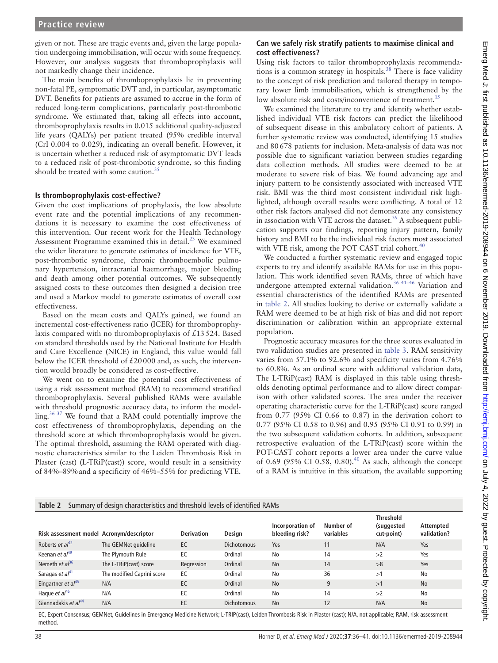given or not. These are tragic events and, given the large population undergoing immobilisation, will occur with some frequency. However, our analysis suggests that thromboprophylaxis will not markedly change their incidence.

The main benefits of thromboprophylaxis lie in preventing non-fatal PE, symptomatic DVT and, in particular, asymptomatic DVT. Benefits for patients are assumed to accrue in the form of reduced long-term complications, particularly post-thrombotic syndrome. We estimated that, taking all effects into account, thromboprophylaxis results in 0.015 additional quality-adjusted life years (QALYs) per patient treated (95% credible interval (CrI 0.004 to 0.029), indicating an overall benefit. However, it is uncertain whether a reduced risk of asymptomatic DVT leads to a reduced risk of post-thrombotic syndrome, so this finding should be treated with some caution.3

### **Is thromboprophylaxis cost-effective?**

Given the cost implications of prophylaxis, the low absolute event rate and the potential implications of any recommendations it is necessary to examine the cost effectiveness of this intervention. Our recent work for the Health Technology Assessment Programme examined this in detail. $^{23}$  $^{23}$  $^{23}$  We examined the wider literature to generate estimates of incidence for VTE, post-thrombotic syndrome, chronic thromboembolic pulmonary hypertension, intracranial haemorrhage, major bleeding and death among other potential outcomes. We subsequently assigned costs to these outcomes then designed a decision tree and used a Markov model to generate estimates of overall cost effectiveness.

Based on the mean costs and QALYs gained, we found an incremental cost-effectiveness ratio (ICER) for thromboprophylaxis compared with no thromboprophylaxis of £13524. Based on standard thresholds used by the National Institute for Health and Care Excellence (NICE) in England, this value would fall below the ICER threshold of  $£20000$  and, as such, the intervention would broadly be considered as cost-effective.

We went on to examine the potential cost effectiveness of using a risk assessment method (RAM) to recommend stratified thromboprophylaxis. Several published RAMs were available with threshold prognostic accuracy data, to inform the modelling.<sup>36 37</sup> We found that a RAM could potentially improve the cost effectiveness of thromboprophylaxis, depending on the threshold score at which thromboprophylaxis would be given. The optimal threshold, assuming the RAM operated with diagnostic characteristics similar to the Leiden Thrombosis Risk in Plaster (cast) (L-TRiP(cast)) score, would result in a sensitivity of 84%–89%and a specificity of 46%–55% for predicting VTE.

### **Can we safely risk stratify patients to maximise clinical and cost effectiveness?**

Using risk factors to tailor thromboprophylaxis recommenda-tions is a common strategy in hospitals.<sup>[38](#page-5-13)</sup> There is face validity to the concept of risk prediction and tailored therapy in temporary lower limb immobilisation, which is strengthened by the low absolute risk and costs/inconvenience of treatment.<sup>15</sup>

We examined the literature to try and identify whether established individual VTE risk factors can predict the likelihood of subsequent disease in this ambulatory cohort of patients. A further systematic review was conducted, identifying 15 studies and 80678 patients for inclusion. Meta-analysis of data was not possible due to significant variation between studies regarding data collection methods. All studies were deemed to be at moderate to severe risk of bias. We found advancing age and injury pattern to be consistently associated with increased VTE risk. BMI was the third most consistent individual risk highlighted, although overall results were conflicting. A total of 12 other risk factors analysed did not demonstrate any consistency in association with VTE across the dataset.<sup>39</sup> A subsequent publication supports our findings, reporting injury pattern, family history and BMI to be the individual risk factors most associated with VTE risk, among the POT CAST trial cohort.<sup>[40](#page-5-15)</sup>

We conducted a further systematic review and engaged topic experts to try and identify available RAMs for use in this population. This work identified seven RAMs, three of which have undergone attempted external validation.<sup>[36 41–46](#page-5-7)</sup> Variation and essential characteristics of the identified RAMs are presented in [table](#page-2-0) 2. All studies looking to derive or externally validate a RAM were deemed to be at high risk of bias and did not report discrimination or calibration within an appropriate external population.

Prognostic accuracy measures for the three scores evaluated in two validation studies are presented in [table](#page-3-0) 3. RAM sensitivity varies from 57.1% to 92.6% and specificity varies from 4.76% to 60.8%. As an ordinal score with additional validation data, The L-TRiP(cast) RAM is displayed in this table using thresholds denoting optimal performance and to allow direct comparison with other validated scores. The area under the receiver operating characteristic curve for the L-TRiP(cast) score ranged from 0.77 (95% CI 0.66 to 0.87) in the derivation cohort to 0.77 (95% CI 0.58 to 0.96) and 0.95 (95% CI 0.91 to 0.99) in the two subsequent validation cohorts. In addition, subsequent retrospective evaluation of the L-TRiP(cast) score within the POT-CAST cohort reports a lower area under the curve value of 0.69 (95% CI 0.58, 0.80).<sup>[40](#page-5-15)</sup> As such, although the concept of a RAM is intuitive in this situation, the available supporting

#### <span id="page-2-0"></span>**Table 2** Summary of design characteristics and threshold levels of identified RAMs

| Risk assessment model Acronym/descriptor |                            | <b>Derivation</b> | Design             | Incorporation of<br>bleeding risk? | Number of<br>variables | <b>Threshold</b><br>(suggested<br>cut-point) | Attempted<br>validation? |
|------------------------------------------|----------------------------|-------------------|--------------------|------------------------------------|------------------------|----------------------------------------------|--------------------------|
| Roberts <i>et</i> $a^{42}$               | The GEMNet quideline       | EC                | <b>Dichotomous</b> | Yes                                | 11                     | N/A                                          | Yes                      |
| Keenan et al <sup>49</sup>               | The Plymouth Rule          | EC                | Ordinal            | No                                 | 14                     | >2                                           | Yes                      |
| Nemeth <i>et</i> $a^{36}$                | The L-TRiP(cast) score     | Regression        | Ordinal            | No                                 | 14                     | >8                                           | Yes                      |
| Saragas et al <sup>41</sup>              | The modified Caprini score | EC                | Ordinal            | No                                 | 36                     | >1                                           | No                       |
| Eingartner et $al^{45}$                  | N/A                        | EC                | Ordinal            | <b>No</b>                          | 9                      | >1                                           | <b>No</b>                |
| Haque et $al^{46}$                       | N/A                        | EC                | Ordinal            | No                                 | 14                     | >2                                           | No                       |
| Giannadakis et al <sup>44</sup>          | N/A                        | EC                | <b>Dichotomous</b> | <b>No</b>                          | 12                     | N/A                                          | <b>No</b>                |

EC, Expert Consensus; GEMNet, Guidelines in Emergency Medicine Network; L-TRIP(cast), Leiden Thrombosis Risk in Plaster (cast); N/A, not applicable; RAM, risk assessment method.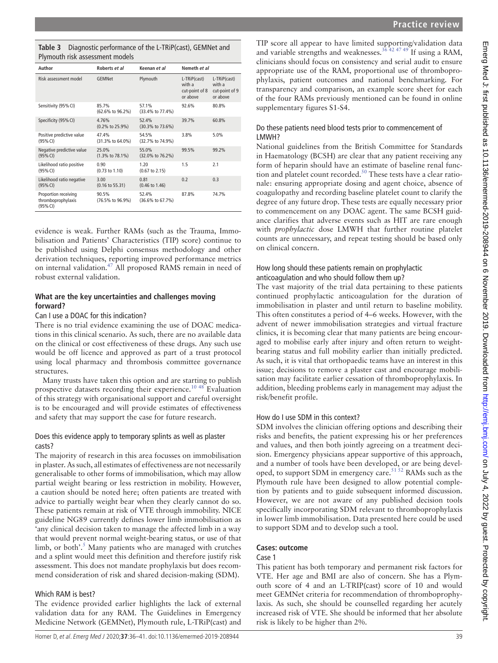TIP score all appear to have limited supporting/validation data and variable strengths and weaknesses.<sup>36 42 47 49</sup> If using a RAM, clinicians should focus on consistency and serial audit to ensure appropriate use of the RAM, proportional use of thromboprophylaxis, patient outcomes and national benchmarking. For transparency and comparison, an example score sheet for each of the four RAMs previously mentioned can be found in [online](https://dx.doi.org/10.1136/emermed-2019-208944) [supplementary figures S1-S4](https://dx.doi.org/10.1136/emermed-2019-208944).

### Do these patients need blood tests prior to commencement of LMWH?

National guidelines from the British Committee for Standards in Haematology (BCSH) are clear that any patient receiving any form of heparin should have an estimate of baseline renal func-tion and platelet count recorded.<sup>[50](#page-5-17)</sup> These tests have a clear rationale: ensuring appropriate dosing and agent choice, absence of coagulopathy and recording baseline platelet count to clarify the degree of any future drop. These tests are equally necessary prior to commencement on any DOAC agent. The same BCSH guidance clarifies that adverse events such as HIT are rare enough with *prophylactic* dose LMWH that further routine platelet counts are unnecessary, and repeat testing should be based only on clinical concern.

### How long should these patients remain on prophylactic anticoagulation and who should follow them up?

The vast majority of the trial data pertaining to these patients continued prophylactic anticoagulation for the duration of immobilisation in plaster and until return to baseline mobility. This often constitutes a period of 4–6 weeks. However, with the advent of newer immobilisation strategies and virtual fracture clinics, it is becoming clear that many patients are being encouraged to mobilise early after injury and often return to weightbearing status and full mobility earlier than initially predicted. As such, it is vital that orthopaedic teams have an interest in this issue; decisions to remove a plaster cast and encourage mobilisation may facilitate earlier cessation of thromboprophylaxis. In addition, bleeding problems early in management may adjust the risk/benefit profile.

### How do I use SDM in this context?

SDM involves the clinician offering options and describing their risks and benefits, the patient expressing his or her preferences and values, and then both jointly agreeing on a treatment decision. Emergency physicians appear supportive of this approach, and a number of tools have been developed, or are being developed, to support SDM in emergency care.[51 52](#page-5-18) RAMs such as the Plymouth rule have been designed to allow potential completion by patients and to guide subsequent informed discussion. However, we are not aware of any published decision tools specifically incorporating SDM relevant to thromboprophylaxis in lower limb immobilisation. Data presented here could be used to support SDM and to develop such a tool.

### **Cases: outcome**

### Case 1

This patient has both temporary and permanent risk factors for VTE. Her age and BMI are also of concern. She has a Plymouth score of 4 and an L-TRIP(cast) score of 10 and would meet GEMNet criteria for recommendation of thromboprophylaxis. As such, she should be counselled regarding her acutely increased risk of VTE. She should be informed that her absolute risk is likely to be higher than 2%.

### <span id="page-3-0"></span>**Table 3** Diagnostic performance of the L-TRiP(cast), GEMNet and Plymouth risk assessment models

| Author                                                 | Roberts et al                         | Keenan et al                      | Nemeth et al                                         |                                                      |  |
|--------------------------------------------------------|---------------------------------------|-----------------------------------|------------------------------------------------------|------------------------------------------------------|--|
| Risk assessment model                                  | <b>GEMNet</b>                         | Plymouth                          | L-TRiP(cast)<br>with a<br>cut-point of 8<br>or above | L-TRiP(cast)<br>with a<br>cut-point of 9<br>or above |  |
| Sensitivity (95% CI)                                   | 85.7%<br>(62.6% to 96.2%)             | 57.1%<br>(33.4% to 77.4%)         | 92.6%                                                | 80.8%                                                |  |
| Specificity (95% CI)                                   | 4.76%<br>(0.2% to 25.9%)              | 52.4%<br>(30.3% to 73.6%)         | 39.7%                                                | 60.8%                                                |  |
| Positive predictive value<br>(95% CI)                  | 47.4%<br>(31.3% to 64.0%)             | 54.5%<br>(32.7% to 74.9%)         | 3.8%                                                 | 5.0%                                                 |  |
| Negative predictive value<br>(95% CI)                  | 25.0%<br>$(1.3\% \text{ to } 78.1\%)$ | 55.0%<br>(32.0% to 76.2%)         | 99.5%                                                | 99.2%                                                |  |
| Likelihood ratio positive<br>(95% CI)                  | 0.90<br>(0.73 to 1.10)                | 1.20<br>$(0.67 \text{ to } 2.15)$ | 1.5                                                  | 2.1                                                  |  |
| Likelihood ratio negative<br>(95% CI)                  | 3.00<br>$(0.16 \text{ to } 55.31)$    | 0.81<br>$(0.46 \text{ to } 1.46)$ | 0.2                                                  | 0.3                                                  |  |
| Proportion receiving<br>thromboprophylaxis<br>(95% CI) | 90.5%<br>(76.5% to 96.9%)             | 52.4%<br>(36.6% to 67.7%)         | 87.8%                                                | 74.7%                                                |  |

evidence is weak. Further RAMs (such as the Trauma, Immobilisation and Patients' Characteristics (TIP) score) continue to be published using Delphi consensus methodology and other derivation techniques, reporting improved performance metrics on internal validation.[47](#page-5-16) All proposed RAMS remain in need of robust external validation.

### **What are the key uncertainties and challenges moving forward?**

### Can I use a DOAC for this indication?

There is no trial evidence examining the use of DOAC medications in this clinical scenario. As such, there are no available data on the clinical or cost effectiveness of these drugs. Any such use would be off licence and approved as part of a trust protocol using local pharmacy and thrombosis committee governance structures.

Many trusts have taken this option and are starting to publish prospective datasets recording their experience.[10 48](#page-4-6) Evaluation of this strategy with organisational support and careful oversight is to be encouraged and will provide estimates of effectiveness and safety that may support the case for future research.

### Does this evidence apply to temporary splints as well as plaster casts?

The majority of research in this area focusses on immobilisation in plaster. As such, all estimates of effectiveness are not necessarily generalisable to other forms of immobilisation, which may allow partial weight bearing or less restriction in mobility. However, a caution should be noted here; often patients are treated with advice to partially weight bear when they clearly cannot do so. These patients remain at risk of VTE through immobility. NICE guideline NG89 currently defines lower limb immobilisation as 'any clinical decision taken to manage the affected limb in a way that would prevent normal weight-bearing status, or use of that limb, or both'. $5$  Many patients who are managed with crutches and a splint would meet this definition and therefore justify risk assessment. This does not mandate prophylaxis but does recommend consideration of risk and shared decision-making (SDM).

### Which RAM is best?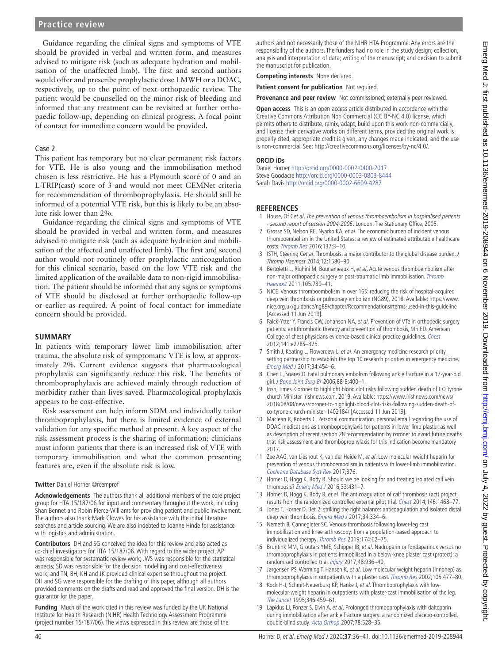### **Practice review**

Guidance regarding the clinical signs and symptoms of VTE should be provided in verbal and written form, and measures advised to mitigate risk (such as adequate hydration and mobilisation of the unaffected limb). The first and second authors would offer and prescribe prophylactic dose LMWH or a DOAC, respectively, up to the point of next orthopaedic review. The patient would be counselled on the minor risk of bleeding and informed that any treatment can be revisited at further orthopaedic follow-up, depending on clinical progress. A focal point of contact for immediate concern would be provided.

#### Case 2

This patient has temporary but no clear permanent risk factors for VTE. He is also young and the immobilisation method chosen is less restrictive. He has a Plymouth score of 0 and an L-TRIP(cast) score of 3 and would not meet GEMNet criteria for recommendation of thromboprophylaxis. He should still be informed of a potential VTE risk, but this is likely to be an absolute risk lower than 2%.

Guidance regarding the clinical signs and symptoms of VTE should be provided in verbal and written form, and measures advised to mitigate risk (such as adequate hydration and mobilisation of the affected and unaffected limb). The first and second author would not routinely offer prophylactic anticoagulation for this clinical scenario, based on the low VTE risk and the limited application of the available data to non-rigid immobilisation. The patient should be informed that any signs or symptoms of VTE should be disclosed at further orthopaedic follow-up or earlier as required. A point of focal contact for immediate concern should be provided.

#### **Summary**

In patients with temporary lower limb immobilisation after trauma, the absolute risk of symptomatic VTE is low, at approximately 2%. Current evidence suggests that pharmacological prophylaxis can significantly reduce this risk. The benefits of thromboprophylaxis are achieved mainly through reduction of morbidity rather than lives saved. Pharmacological prophylaxis appears to be cost-effective.

Risk assessment can help inform SDM and individually tailor thromboprophylaxis, but there is limited evidence of external validation for any specific method at present. A key aspect of the risk assessment process is the sharing of information; clinicians must inform patients that there is an increased risk of VTE with temporary immobilisation and what the common presenting features are, even if the absolute risk is low.

#### **Twitter** Daniel Horner [@rcemprof](https://twitter.com/rcemprof)

**Acknowledgements** The authors thank all additional members of the core project group for HTA 15/187/06 for input and commentary throughout the work, including Shan Bennet and Robin Pierce-Williams for providing patient and public involvement. The authors also thank Mark Clowes for his assistance with the initial literature searches and article sourcing. We are also indebted to Joanne Hinde for assistance with logistics and administration.

**Contributors** DH and SG conceived the idea for this review and also acted as co-chief investigators for HTA 15/187/06. With regard to the wider project, AP was responsible for systematic review work; JWS was responsible for the statistical aspects; SD was responsible for the decision modelling and cost-effectiveness work; and TN, BH, KH and JK provided clinical expertise throughout the project. DH and SG were responsible for the drafting of this paper, although all authors provided comments on the drafts and read and approved the final version. DH is the guarantor for the paper.

**Funding** Much of the work cited in this review was funded by the UK National Institute for Health Research (NIHR) Health Technology Assessment Programme (project number 15/187/06). The views expressed in this review are those of the

authors and not necessarily those of the NIHR HTA Programme. Any errors are the responsibility of the authors. The funders had no role in the study design; collection, analysis and interpretation of data; writing of the manuscript; and decision to submit the manuscript for publication.

**Competing interests** None declared.

**Patient consent for publication** Not required.

**Provenance and peer review** Not commissioned; externally peer reviewed.

**Open access** This is an open access article distributed in accordance with the Creative Commons Attribution Non Commercial (CC BY-NC 4.0) license, which permits others to distribute, remix, adapt, build upon this work non-commercially, and license their derivative works on different terms, provided the original work is properly cited, appropriate credit is given, any changes made indicated, and the use is non-commercial. See: [http://creativecommons.org/licenses/by-nc/4.0/.](http://creativecommons.org/licenses/by-nc/4.0/)

#### **ORCID iDs**

Daniel Horner <http://orcid.org/0000-0002-0400-2017> Steve Goodacre<http://orcid.org/0000-0003-0803-8444> Sarah Davis<http://orcid.org/0000-0002-6609-4287>

#### **References**

- <span id="page-4-0"></span>1 House, Of Cet al. The prevention of venous thromboembolism in hospitalised patients - second report of session 2004-2005. London: The Stationary Office, 2005.
- 2 Grosse SD, Nelson RE, Nyarko KA, et al. The economic burden of incident venous thromboembolism in the United States: a review of estimated attributable healthcare costs. [Thromb Res](http://dx.doi.org/10.1016/j.thromres.2015.11.033) 2016;137:3–10.
- <span id="page-4-1"></span>3 ISTH, Steering Cet al. Thrombosis: a major contributor to the global disease burden. J Thromb Haemost 2014;12:1580–90.
- <span id="page-4-2"></span>4 Bertoletti L, Righini M, Bounameaux H, et al. Acute venous thromboembolism after non-major orthopaedic surgery or post-traumatic limb immobilisation. [Thromb](http://dx.doi.org/10.1160/TH10-11-0751)  [Haemost](http://dx.doi.org/10.1160/TH10-11-0751) 2011;105:739–41.
- <span id="page-4-3"></span>5 NICE. Venous thromboembolism in over 16S: reducing the risk of hospital-acquired deep vein thrombosis or pulmonary embolism (NG89), 2018. Available: [https://www.](https://www.nice.org.uk/guidance/ng89/chapter/Recommendations#terms-used-in-this-guideline) [nice.org.uk/guidance/ng89/chapter/Recommendations#terms-used-in-this-guideline](https://www.nice.org.uk/guidance/ng89/chapter/Recommendations#terms-used-in-this-guideline)  [Accessed 11 Jun 2019].
- 6 Falck-Ytter Y, Francis CW, Johanson NA, et al. Prevention of VTe in orthopedic surgery patients: antithrombotic therapy and prevention of thrombosis, 9th ED: American College of chest physicians evidence-based clinical practice guidelines. [Chest](http://dx.doi.org/10.1378/chest.11-2404) 2012;141:e278S–325.
- <span id="page-4-4"></span>7 Smith J, Keating L, Flowerdew L, et al. An emergency medicine research priority setting partnership to establish the top 10 research priorities in emergency medicine. [Emerg Med J](http://dx.doi.org/10.1136/emermed-2017-206702) 2017;34:454–6.
- <span id="page-4-5"></span>8 Chen L, Soares D. Fatal pulmonary embolism following ankle fracture in a 17-year-old girl. [J Bone Joint Surg Br](http://dx.doi.org/10.1302/0301-620X.88B3.17152) 2006;88-B:400–1.
- 9 Irish, Times. Coroner to highlight blood clot risks following sudden death of CO Tyrone church Minister Irishnews.com, 2019. Available: [https://www.irishnews.com/news/](https://www.irishnews.com/news/2018/08/08/news/coroner-to-highlight-blood-clot-risks-following-sudden-death-of-co-tyrone-church-minister-1402184/) [2018/08/08/news/coroner-to-highlight-blood-clot-risks-following-sudden-death-of](https://www.irishnews.com/news/2018/08/08/news/coroner-to-highlight-blood-clot-risks-following-sudden-death-of-co-tyrone-church-minister-1402184/)[co-tyrone-church-minister-1402184/](https://www.irishnews.com/news/2018/08/08/news/coroner-to-highlight-blood-clot-risks-following-sudden-death-of-co-tyrone-church-minister-1402184/) [Accessed 11 Jun 2019].
- <span id="page-4-6"></span>10 Maclean R, Roberts C. Personal communication. personal email regarding the use of DOAC medications as thromboprophylaxis for patients in lower limb plaster, as well as description of recent section 28 recommendation by coroner to avoid future deaths that risk assessment and thromboprophylaxis for this indication become mandatory 2017.
- <span id="page-4-7"></span>11 Zee AAG, van Lieshout K, van der Heide M, et al. Low molecular weight heparin for prevention of venous thromboembolism in patients with lower-limb immobilization. [Cochrane Database Syst Rev](http://dx.doi.org/10.1002/14651858.CD006681.pub4) 2017;376.
- <span id="page-4-8"></span>12 Horner D, Hogg K, Body R. Should we be looking for and treating isolated calf vein thrombosis? [Emerg Med J](http://dx.doi.org/10.1136/emermed-2014-204230) 2016;33:431–7.
- 13 Horner D, Hogg K, Body R, et al. The anticoagulation of calf thrombosis (act) project: results from the randomized controlled external pilot trial. [Chest](http://dx.doi.org/10.1378/chest.14-0235) 2014;146:1468–77.
- 14 Jones T, Horner D. Bet 2: striking the right balance: anticoagulation and isolated distal deep vein thrombosis. [Emerg Med J](http://dx.doi.org/10.1136/emermed-2017-206732.2) 2017;34:334-6.
- <span id="page-4-9"></span>15 Nemeth B, Cannegieter SC. Venous thrombosis following lower-leg cast immobilization and knee arthroscopy: from a population-based approach to individualized therapy. [Thromb Res](http://dx.doi.org/10.1016/j.thromres.2018.11.030) 2019;174:62–75.
- <span id="page-4-10"></span>16 Bruntink MM, Groutars YME, Schipper IB, et al. Nadroparin or fondaparinux versus no thromboprophylaxis in patients immobilised in a below-knee plaster cast (protect): a randomised controlled trial. [Injury](http://dx.doi.org/10.1016/j.injury.2017.02.018) 2017;48:936–40.
- 17 Jørgensen PS, Warming T, Hansen K, et al. Low molecular weight heparin (Innohep) as thromboprophylaxis in outpatients with a plaster cast. [Thromb Res](http://dx.doi.org/10.1016/S0049-3848(02)00059-2) 2002;105:477–80.
- 18 Kock H-J, Schmit-Neuerburg KP, Hanke J, et al. Thromboprophylaxis with lowmolecular-weight heparin in outpatients with plaster-cast immobilisation of the leg. [The Lancet](http://dx.doi.org/10.1016/S0140-6736(95)91320-3) 1995;346:459–61.
- 19 Lapidus LJ, Ponzer S, Elvin A, et al. Prolonged thromboprophylaxis with dalteparin during immobilization after ankle fracture surgery: a randomized placebo-controlled, double-blind study. [Acta Orthop](http://dx.doi.org/10.1080/17453670710014185) 2007;78:528–35.